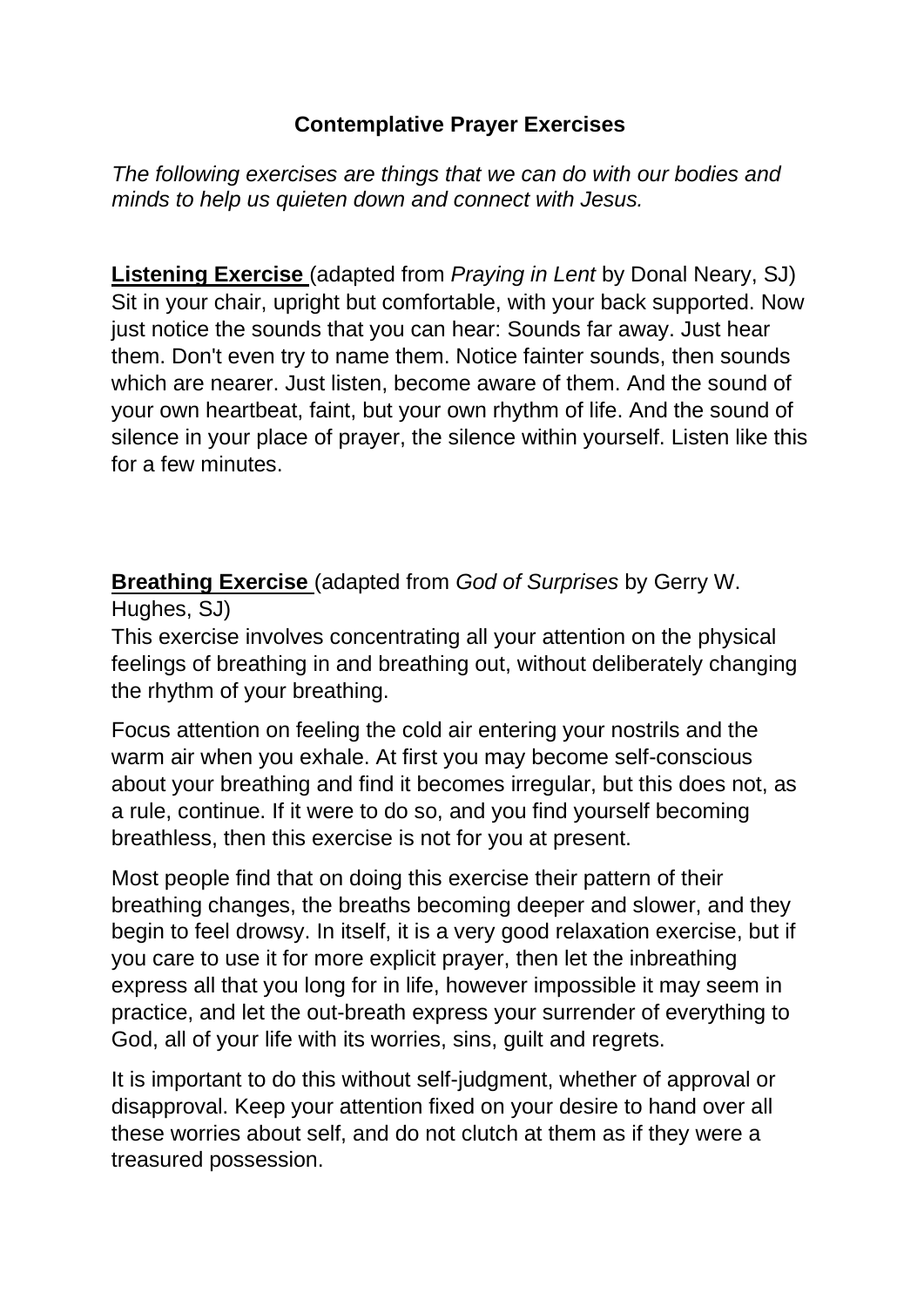## **Contemplative Prayer Exercises**

*The following exercises are things that we can do with our bodies and minds to help us quieten down and connect with Jesus.*

**Listening Exercise** (adapted from *Praying in Lent* by Donal Neary, SJ) Sit in your chair, upright but comfortable, with your back supported. Now just notice the sounds that you can hear: Sounds far away. Just hear them. Don't even try to name them. Notice fainter sounds, then sounds which are nearer. Just listen, become aware of them. And the sound of your own heartbeat, faint, but your own rhythm of life. And the sound of silence in your place of prayer, the silence within yourself. Listen like this for a few minutes.

**Breathing Exercise** (adapted from *God of Surprises* by Gerry W. Hughes, SJ)

This exercise involves concentrating all your attention on the physical feelings of breathing in and breathing out, without deliberately changing the rhythm of your breathing.

Focus attention on feeling the cold air entering your nostrils and the warm air when you exhale. At first you may become self-conscious about your breathing and find it becomes irregular, but this does not, as a rule, continue. If it were to do so, and you find yourself becoming breathless, then this exercise is not for you at present.

Most people find that on doing this exercise their pattern of their breathing changes, the breaths becoming deeper and slower, and they begin to feel drowsy. In itself, it is a very good relaxation exercise, but if you care to use it for more explicit prayer, then let the inbreathing express all that you long for in life, however impossible it may seem in practice, and let the out-breath express your surrender of everything to God, all of your life with its worries, sins, guilt and regrets.

It is important to do this without self-judgment, whether of approval or disapproval. Keep your attention fixed on your desire to hand over all these worries about self, and do not clutch at them as if they were a treasured possession.